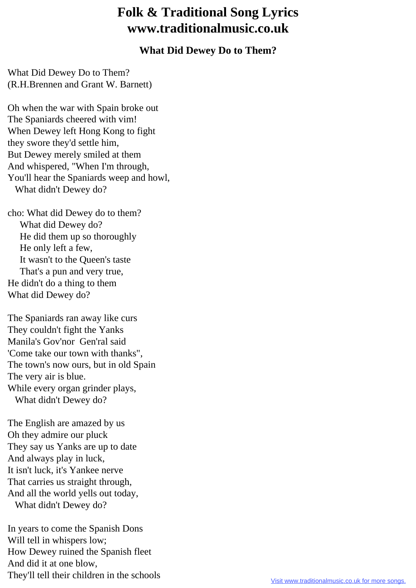## **Folk & Traditional Song Lyrics www.traditionalmusic.co.uk**

## **What Did Dewey Do to Them?**

What Did Dewey Do to Them? (R.H.Brennen and Grant W. Barnett)

Oh when the war with Spain broke out The Spaniards cheered with vim! When Dewey left Hong Kong to fight they swore they'd settle him, But Dewey merely smiled at them And whispered, "When I'm through, You'll hear the Spaniards weep and howl, What didn't Dewey do?

cho: What did Dewey do to them? What did Dewey do? He did them up so thoroughly He only left a few, It wasn't to the Queen's taste That's a pun and very true, He didn't do a thing to them What did Dewey do?

The Spaniards ran away like curs They couldn't fight the Yanks Manila's Gov'nor Gen'ral said 'Come take our town with thanks", The town's now ours, but in old Spain The very air is blue. While every organ grinder plays, What didn't Dewey do?

The English are amazed by us Oh they admire our pluck They say us Yanks are up to date And always play in luck, It isn't luck, it's Yankee nerve That carries us straight through, And all the world yells out today, What didn't Dewey do?

In years to come the Spanish Dons Will tell in whispers low; How Dewey ruined the Spanish fleet And did it at one blow, They'll tell their children in the schools